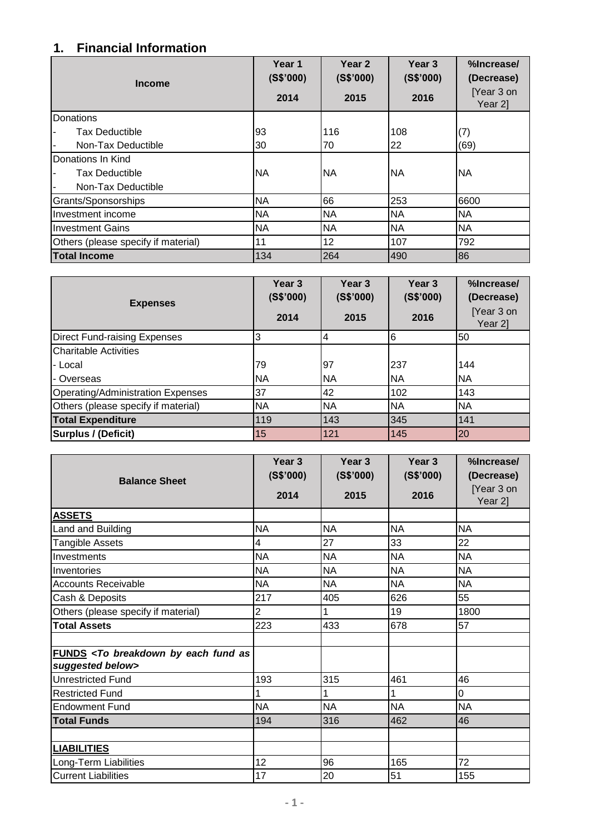## **1. Financial Information**

| <b>Income</b>                       | Year 1<br>(S\$'000) | Year <sub>2</sub><br>(S\$'000) | Year 3<br>(S\$'000) | %Increase/<br>(Decrease) |
|-------------------------------------|---------------------|--------------------------------|---------------------|--------------------------|
|                                     | 2014                | 2015                           | 2016                | [Year 3 on<br>Year 2]    |
| Donations                           |                     |                                |                     |                          |
| <b>Tax Deductible</b>               | 93                  | 116                            | 108                 | (7)                      |
| Non-Tax Deductible                  | 30                  | 70                             | 22                  | (69)                     |
| Donations In Kind                   |                     |                                |                     |                          |
| Tax Deductible                      | <b>NA</b>           | <b>NA</b>                      | <b>NA</b>           | <b>NA</b>                |
| Non-Tax Deductible                  |                     |                                |                     |                          |
| Grants/Sponsorships                 | <b>NA</b>           | 66                             | 253                 | 6600                     |
| Investment income                   | <b>NA</b>           | <b>NA</b>                      | <b>NA</b>           | <b>NA</b>                |
| <b>Investment Gains</b>             | <b>NA</b>           | <b>NA</b>                      | <b>NA</b>           | <b>NA</b>                |
| Others (please specify if material) | 11                  | 12                             | 107                 | 792                      |
| <b>Total Income</b>                 | 134                 | 264                            | 490                 | 86                       |

| <b>Expenses</b>                     | Year <sub>3</sub><br>(S\$'000)<br>2014 | Year <sub>3</sub><br>(S\$'000)<br>2015 | Year <sub>3</sub><br>(S\$'000)<br>2016 | %Increase/<br>(Decrease)<br>[Year 3 on<br>Year 2] |
|-------------------------------------|----------------------------------------|----------------------------------------|----------------------------------------|---------------------------------------------------|
| Direct Fund-raising Expenses        | 3                                      | 4                                      | 6                                      | 50                                                |
| <b>ICharitable Activities</b>       |                                        |                                        |                                        |                                                   |
| l- Local                            | 79                                     | 97                                     | 237                                    | 144                                               |
| - Overseas                          | <b>NA</b>                              | <b>NA</b>                              | <b>NA</b>                              | <b>NA</b>                                         |
| Operating/Administration Expenses   | 37                                     | 42                                     | 102                                    | 143                                               |
| Others (please specify if material) | <b>NA</b>                              | <b>NA</b>                              | <b>NA</b>                              | <b>NA</b>                                         |
| <b>Total Expenditure</b>            | 119                                    | 143                                    | 345                                    | 141                                               |
| Surplus / (Deficit)                 | 15                                     | 121                                    | 145                                    | 20                                                |

| <b>Balance Sheet</b>                                                                                       | Year <sub>3</sub><br>(S\$'000) | Year <sub>3</sub><br>(S\$'000) | Year <sub>3</sub><br>(S\$'000) | %Increase/<br>(Decrease)<br>[Year 3 on |
|------------------------------------------------------------------------------------------------------------|--------------------------------|--------------------------------|--------------------------------|----------------------------------------|
|                                                                                                            | 2014                           | 2015                           | 2016                           | Year 2]                                |
| <b>ASSETS</b>                                                                                              |                                |                                |                                |                                        |
| Land and Building                                                                                          | <b>NA</b>                      | <b>NA</b>                      | <b>NA</b>                      | <b>NA</b>                              |
| Tangible Assets                                                                                            | 4                              | 27                             | 33                             | 22                                     |
| Investments                                                                                                | <b>NA</b>                      | <b>NA</b>                      | <b>NA</b>                      | <b>NA</b>                              |
| Inventories                                                                                                | <b>NA</b>                      | <b>NA</b>                      | <b>NA</b>                      | <b>NA</b>                              |
| <b>Accounts Receivable</b>                                                                                 | <b>NA</b>                      | <b>NA</b>                      | <b>NA</b>                      | <b>NA</b>                              |
| Cash & Deposits                                                                                            | 217                            | 405                            | 626                            | 55                                     |
| Others (please specify if material)                                                                        | $\overline{2}$                 | 1                              | 19                             | 1800                                   |
| <b>Total Assets</b>                                                                                        | 223                            | 433                            | 678                            | 57                                     |
|                                                                                                            |                                |                                |                                |                                        |
| <b>FUNDS</b> <to as<="" breakdown="" by="" each="" fund="" th=""><th></th><th></th><th></th><th></th></to> |                                |                                |                                |                                        |
| suggested below>                                                                                           |                                |                                |                                |                                        |
| Unrestricted Fund                                                                                          | 193                            | 315                            | 461                            | 46                                     |
| <b>Restricted Fund</b>                                                                                     | 1                              | 1                              | 1                              | 0                                      |
| <b>Endowment Fund</b>                                                                                      | <b>NA</b>                      | <b>NA</b>                      | <b>NA</b>                      | <b>NA</b>                              |
| <b>Total Funds</b>                                                                                         | 194                            | 316                            | 462                            | 46                                     |
|                                                                                                            |                                |                                |                                |                                        |
| <b>LIABILITIES</b>                                                                                         |                                |                                |                                |                                        |
| Long-Term Liabilities                                                                                      | 12                             | 96                             | 165                            | 72                                     |
| <b>Current Liabilities</b>                                                                                 | 17                             | 20                             | 51                             | 155                                    |